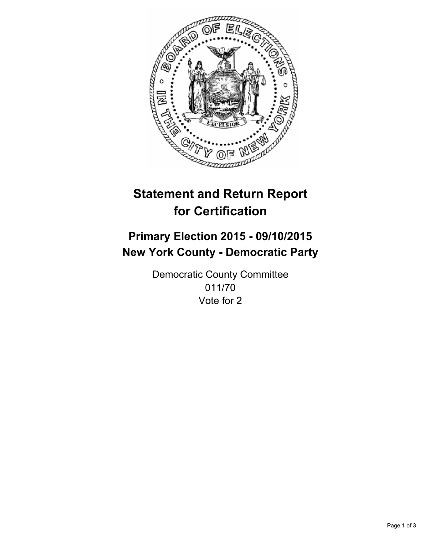

# **Statement and Return Report for Certification**

## **Primary Election 2015 - 09/10/2015 New York County - Democratic Party**

Democratic County Committee 011/70 Vote for 2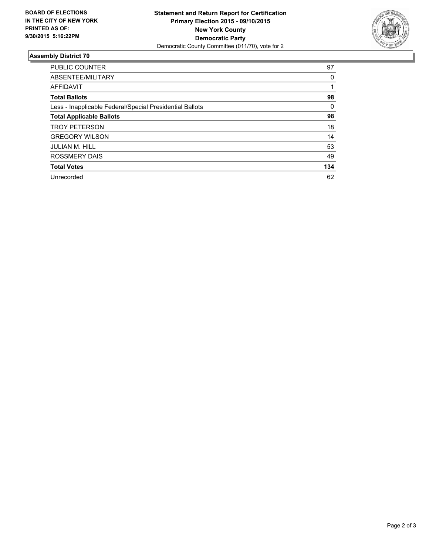

#### **Assembly District 70**

| <b>PUBLIC COUNTER</b>                                    | 97  |
|----------------------------------------------------------|-----|
| ABSENTEE/MILITARY                                        | 0   |
| <b>AFFIDAVIT</b>                                         |     |
| <b>Total Ballots</b>                                     | 98  |
| Less - Inapplicable Federal/Special Presidential Ballots | 0   |
| <b>Total Applicable Ballots</b>                          | 98  |
| <b>TROY PETERSON</b>                                     | 18  |
| <b>GREGORY WILSON</b>                                    | 14  |
| <b>JULIAN M. HILL</b>                                    | 53  |
| <b>ROSSMERY DAIS</b>                                     | 49  |
| <b>Total Votes</b>                                       | 134 |
| Unrecorded                                               | 62  |